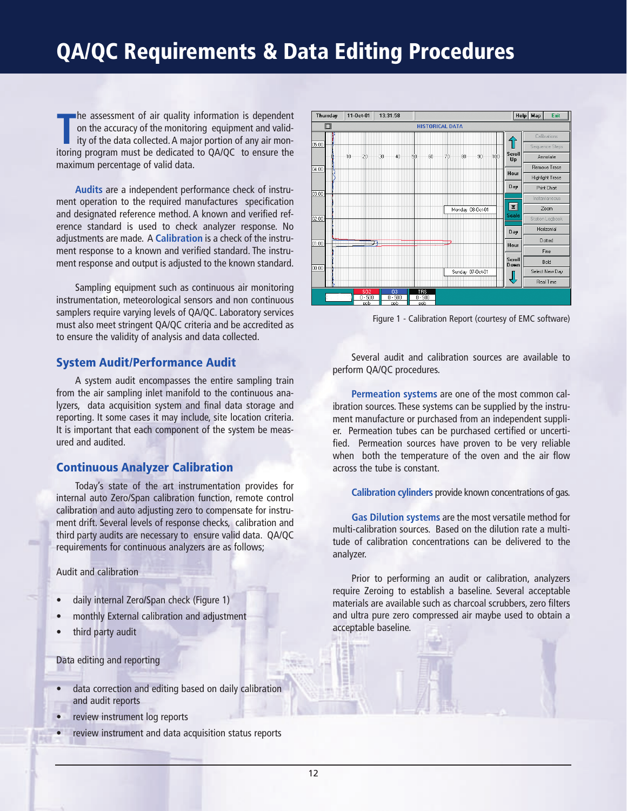# **QA/QC Requirements & Data Editing Procedures**

**The assessment of air quality information is dependent on the accuracy of the monitoring equipment and validity of the data collected. A major portion of any air monitoring program must be dedicated to QA/QC to ensure the** he assessment of air quality information is dependent on the accuracy of the monitoring equipment and validity of the data collected.A major portion of any air monmaximum percentage of valid data.

**Audits** are a independent performance check of instrument operation to the required manufactures specification and designated reference method. A known and verified reference standard is used to check analyzer response. No adjustments are made. A **Calibration** is a check of the instrument response to a known and verified standard. The instrument response and output is adjusted to the known standard.

Sampling equipment such as continuous air monitoring instrumentation, meteorological sensors and non continuous samplers require varying levels of QA/QC. Laboratory services must also meet stringent QA/QC criteria and be accredited as to ensure the validity of analysis and data collected.

#### **System Audit/Performance Audit**

A system audit encompasses the entire sampling train from the air sampling inlet manifold to the continuous analyzers, data acquisition system and final data storage and reporting. It some cases it may include, site location criteria. It is important that each component of the system be measured and audited.

#### **Continuous Analyzer Calibration**

Today's state of the art instrumentation provides for internal auto Zero/Span calibration function, remote control calibration and auto adjusting zero to compensate for instrument drift. Several levels of response checks, calibration and third party audits are necessary to ensure valid data. QA/QC requirements for continuous analyzers are as follows;

Audit and calibration

- daily internal Zero/Span check (Figure 1)
- monthly External calibration and adjustment
- third party audit

Data editing and reporting

- data correction and editing based on daily calibration and audit reports
- review instrument log reports
- review instrument and data acquisition status reports



Figure 1 - Calibration Report (courtesy of EMC software)

Several audit and calibration sources are available to perform QA/QC procedures.

**Permeation systems** are one of the most common calibration sources. These systems can be supplied by the instrument manufacture or purchased from an independent supplier. Permeation tubes can be purchased certified or uncertified. Permeation sources have proven to be very reliable when both the temperature of the oven and the air flow across the tube is constant.

**Calibration cylinders** provide known concentrations of gas.

**Gas Dilution systems** are the most versatile method for multi-calibration sources. Based on the dilution rate a multitude of calibration concentrations can be delivered to the analyzer.

Prior to performing an audit or calibration, analyzers require Zeroing to establish a baseline. Several acceptable materials are available such as charcoal scrubbers, zero filters and ultra pure zero compressed air maybe used to obtain a acceptable baseline.